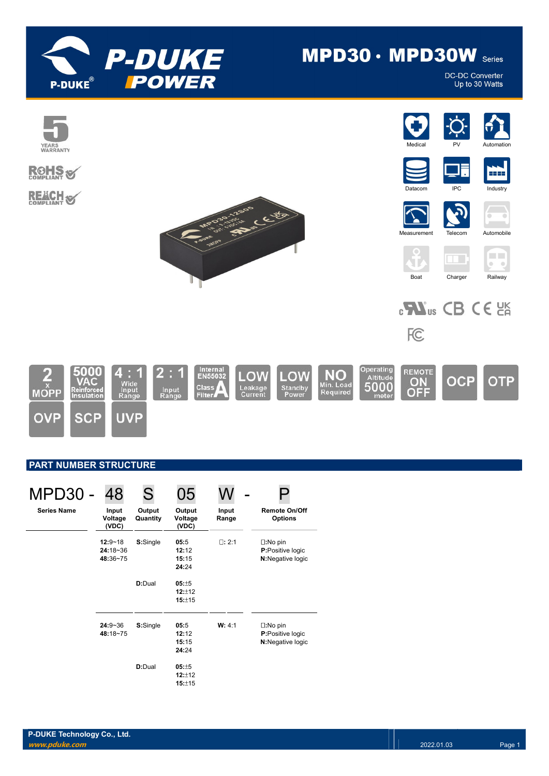

# $MPD30 \cdot MPD30W$  Series

**DC-DC Converter** Up to 30 Watts



## PART NUMBER STRUCTURE

| MPD30              | 48                                      | S.                 |                                 |                |                                                                   |
|--------------------|-----------------------------------------|--------------------|---------------------------------|----------------|-------------------------------------------------------------------|
| <b>Series Name</b> | Input<br>Voltage<br>(VDC)               | Output<br>Quantity | Output<br>Voltage<br>(VDC)      | Input<br>Range | <b>Remote On/Off</b><br><b>Options</b>                            |
|                    | $12:9 - 18$<br>$24:18 - 36$<br>48:36~75 | S:Single           | 05:5<br>12:12<br>15:15<br>24:24 | $\Box: 2:1$    | $\square:$ No pin<br><b>P:</b> Positive logic<br>N:Negative logic |
|                    |                                         | D:Dual             | 05:±5<br>12:12<br>15:±15        |                |                                                                   |
|                    | $24:9 - 36$<br>48:18~75                 | S:Single           | 05:5<br>12:12<br>15:15<br>24:24 | W: 4:1         | $\square:$ No pin<br>P:Positive logic<br>N:Negative logic         |
|                    |                                         | <b>D:Dual</b>      | 05:±5<br>12:±12<br>15:±15       |                |                                                                   |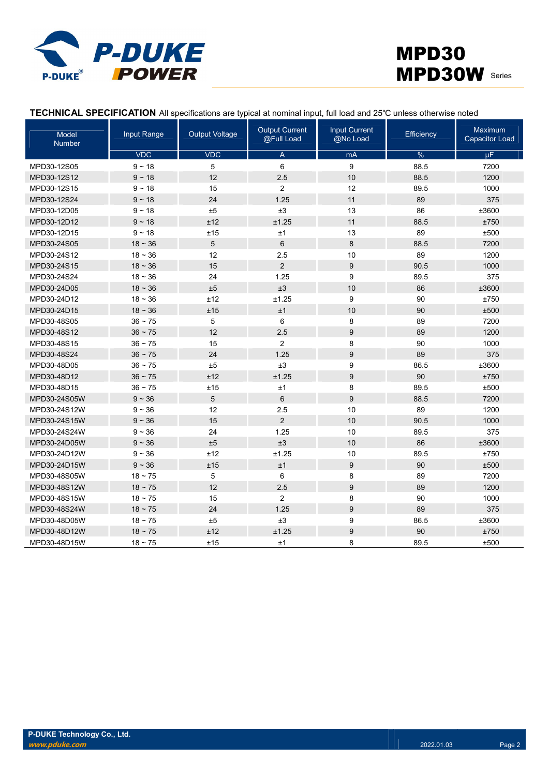

|  | TECHNICAL SPECIFICATION All specifications are typical at nominal input, full load and 25°C unless otherwise noted |
|--|--------------------------------------------------------------------------------------------------------------------|
|--|--------------------------------------------------------------------------------------------------------------------|

| <b>Input Range</b><br>Model<br>Number |            | <b>Output Voltage</b> | <b>Output Current</b><br>@Full Load | <b>Input Current</b><br>@No Load | Efficiency | Maximum<br><b>Capacitor Load</b> |
|---------------------------------------|------------|-----------------------|-------------------------------------|----------------------------------|------------|----------------------------------|
|                                       | <b>VDC</b> | <b>VDC</b>            | A                                   | mA                               | %          | μF                               |
| MPD30-12S05                           | $9 - 18$   | 5                     | 6                                   | $\boldsymbol{9}$                 | 88.5       | 7200                             |
| MPD30-12S12                           | $9 - 18$   | 12                    | 2.5                                 | 10                               | 88.5       | 1200                             |
| MPD30-12S15                           | $9 - 18$   | 15                    | $\overline{2}$                      | 12                               | 89.5       | 1000                             |
| MPD30-12S24                           | $9 - 18$   | 24                    | 1.25                                | 11                               | 89         | 375                              |
| MPD30-12D05                           | $9 - 18$   | ±5                    | ±3                                  | 13                               | 86         | ±3600                            |
| MPD30-12D12                           | $9 - 18$   | ±12                   | ±1.25                               | 11                               | 88.5       | ±750                             |
| MPD30-12D15                           | $9 - 18$   | ±15                   | $\pm 1$                             | 13                               | 89         | ±500                             |
| MPD30-24S05                           | $18 - 36$  | 5                     | $6\phantom{1}$                      | 8                                | 88.5       | 7200                             |
| MPD30-24S12                           | $18 - 36$  | 12                    | 2.5                                 | 10                               | 89         | 1200                             |
| MPD30-24S15                           | $18 - 36$  | 15                    | $\overline{2}$                      | $\boldsymbol{9}$                 | 90.5       | 1000                             |
| MPD30-24S24                           | $18 - 36$  | 24                    | 1.25                                | 9                                | 89.5       | 375                              |
| MPD30-24D05                           | $18 - 36$  | ±5                    | ±3                                  | 10                               | 86         | ±3600                            |
| MPD30-24D12                           | $18 - 36$  | ±12                   | ±1.25                               | 9                                | 90         | ±750                             |
| MPD30-24D15                           | $18 - 36$  | ±15                   | ±1                                  | 10                               | 90         | ±500                             |
| MPD30-48S05                           | $36 - 75$  | 5                     | 6                                   | 8                                | 89         | 7200                             |
| MPD30-48S12                           | $36 - 75$  | 12                    | 2.5                                 | $\boldsymbol{9}$                 | 89         | 1200                             |
| MPD30-48S15                           | $36 - 75$  | 15                    | $\overline{2}$                      | 8                                | 90         | 1000                             |
| MPD30-48S24                           | $36 - 75$  | 24                    | 1.25                                | $\boldsymbol{9}$                 | 89         | 375                              |
| MPD30-48D05                           | $36 - 75$  | ±5                    | ±3                                  | 9                                | 86.5       | ±3600                            |
| MPD30-48D12                           | $36 - 75$  | ±12                   | ±1.25                               | $\boldsymbol{9}$                 | 90         | ±750                             |
| MPD30-48D15                           | $36 - 75$  | ±15                   | ±1                                  | 8                                | 89.5       | ±500                             |
| MPD30-24S05W                          | $9 - 36$   | 5                     | $6\phantom{1}$                      | 9                                | 88.5       | 7200                             |
| MPD30-24S12W                          | $9 - 36$   | 12                    | 2.5                                 | 10                               | 89         | 1200                             |
| MPD30-24S15W                          | $9 - 36$   | 15                    | $\overline{2}$                      | 10                               | 90.5       | 1000                             |
| MPD30-24S24W                          | $9 - 36$   | 24                    | 1.25                                | 10                               | 89.5       | 375                              |
| MPD30-24D05W                          | $9 - 36$   | ±5                    | ±3                                  | 10                               | 86         | ±3600                            |
| MPD30-24D12W                          | $9 - 36$   | ±12                   | ±1.25                               | 10                               | 89.5       | ±750                             |
| MPD30-24D15W                          | $9 - 36$   | ±15                   | ±1                                  | $\boldsymbol{9}$                 | 90         | ±500                             |
| MPD30-48S05W                          | $18 - 75$  | 5                     | 6                                   | 8                                | 89         | 7200                             |
| MPD30-48S12W                          | $18 - 75$  | 12                    | 2.5                                 | $\boldsymbol{9}$                 | 89         | 1200                             |
| MPD30-48S15W                          | $18 - 75$  | 15                    | $\overline{2}$                      | 8                                | 90         | 1000                             |
| MPD30-48S24W                          | $18 - 75$  | 24                    | 1.25                                | $\boldsymbol{9}$                 | 89         | 375                              |
| MPD30-48D05W                          | $18 - 75$  | ±5                    | ±3                                  | 9                                | 86.5       | ±3600                            |
| MPD30-48D12W                          | $18 - 75$  | ±12                   | ±1.25                               | $\boldsymbol{9}$                 | 90         | ±750                             |
| MPD30-48D15W                          | $18 - 75$  | ±15                   | ±1                                  | 8                                | 89.5       | ±500                             |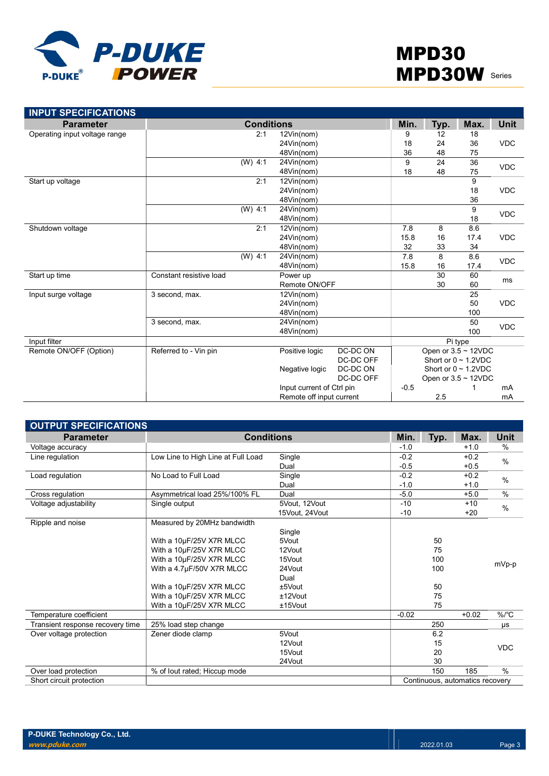

| <b>INPUT SPECIFICATIONS</b>   |                         |                   |                            |           |        |                           |                           |             |
|-------------------------------|-------------------------|-------------------|----------------------------|-----------|--------|---------------------------|---------------------------|-------------|
| <b>Parameter</b>              |                         | <b>Conditions</b> |                            |           | Min.   | Typ.                      | Max.                      | <b>Unit</b> |
| Operating input voltage range |                         | 2:1               | 12Vin(nom)                 |           | 9      | 12                        | 18                        |             |
|                               |                         |                   | 24Vin(nom)                 |           | 18     | 24                        | 36                        | <b>VDC</b>  |
|                               |                         |                   | 48Vin(nom)                 |           | 36     | 48                        | 75                        |             |
|                               | $(W)$ 4:1               |                   | 24Vin(nom)                 |           | 9      | 24                        | 36                        | <b>VDC</b>  |
|                               |                         |                   | 48Vin(nom)                 |           | 18     | 48                        | 75                        |             |
| Start up voltage              |                         | 2:1               | 12Vin(nom)                 |           |        |                           | 9                         |             |
|                               |                         |                   | 24Vin(nom)                 |           |        |                           | 18                        | <b>VDC</b>  |
|                               |                         |                   | 48Vin(nom)                 |           |        |                           | 36                        |             |
|                               | $(W)$ 4:1               |                   | 24Vin(nom)                 |           |        |                           | 9                         | <b>VDC</b>  |
|                               |                         |                   | 48Vin(nom)                 |           |        |                           | 18                        |             |
| Shutdown voltage              |                         | 2:1               | 12Vin(nom)                 |           | 7.8    | 8                         | 8.6                       |             |
|                               |                         |                   | 24Vin(nom)                 |           | 15.8   | 16                        | 17.4                      | <b>VDC</b>  |
|                               |                         |                   | 48Vin(nom)                 |           | 32     | 33                        | 34                        |             |
|                               | (W) 4.1                 |                   | 24Vin(nom)                 |           | 7.8    | 8                         | 8.6                       | <b>VDC</b>  |
|                               |                         |                   | 48Vin(nom)                 |           | 15.8   | 16                        | 17.4                      |             |
| Start up time                 | Constant resistive load |                   | Power up                   |           |        | 30                        | 60                        | ms          |
|                               |                         |                   | Remote ON/OFF              |           |        | 30                        | 60                        |             |
| Input surge voltage           | 3 second, max.          |                   | 12Vin(nom)                 |           |        |                           | 25                        |             |
|                               |                         |                   | 24Vin(nom)                 |           |        |                           | 50                        | <b>VDC</b>  |
|                               |                         |                   | 48Vin(nom)                 |           |        |                           | 100                       |             |
|                               | 3 second, max.          |                   | 24Vin(nom)                 |           |        |                           | 50                        | <b>VDC</b>  |
|                               |                         |                   | 48Vin(nom)                 |           |        |                           | 100                       |             |
| Input filter                  |                         |                   |                            |           |        |                           | Pi type                   |             |
| Remote ON/OFF (Option)        | Referred to - Vin pin   |                   | Positive logic             | DC-DC ON  |        |                           | Open or $3.5 \sim 12$ VDC |             |
|                               |                         |                   |                            | DC-DC OFF |        |                           | Short or $0 \sim 1.2$ VDC |             |
|                               |                         |                   | DC-DC ON<br>Negative logic |           |        | Short or $0 \sim 1.2$ VDC |                           |             |
|                               |                         |                   |                            | DC-DC OFF |        |                           | Open or $3.5 \sim 12$ VDC |             |
|                               |                         |                   | Input current of Ctrl pin  |           | $-0.5$ |                           |                           | mA          |
|                               |                         |                   | Remote off input current   |           |        | 2.5                       |                           | mA          |

| <b>OUTPUT SPECIFICATIONS</b>     |                                    |                |         |      |                                 |               |
|----------------------------------|------------------------------------|----------------|---------|------|---------------------------------|---------------|
| <b>Parameter</b>                 | <b>Conditions</b>                  |                | Min.    | Typ. | Max.                            | Unit          |
| Voltage accuracy                 |                                    |                | $-1.0$  |      | $+1.0$                          | $\%$          |
| Line regulation                  | Low Line to High Line at Full Load | Single         | $-0.2$  |      | $+0.2$                          | $\frac{0}{0}$ |
|                                  |                                    | Dual           | $-0.5$  |      | $+0.5$                          |               |
| Load regulation                  | No Load to Full Load               | Single         | $-0.2$  |      | $+0.2$                          | $\frac{0}{0}$ |
|                                  |                                    | Dual           | $-1.0$  |      | $+1.0$                          |               |
| Cross regulation                 | Asymmetrical load 25%/100% FL      | Dual           | $-5.0$  |      | $+5.0$                          | $\%$          |
| Voltage adjustability            | Single output                      | 5Vout, 12Vout  | $-10$   |      | $+10$                           | $\%$          |
|                                  |                                    | 15Vout, 24Vout | $-10$   |      | $+20$                           |               |
| Ripple and noise                 | Measured by 20MHz bandwidth        |                |         |      |                                 |               |
|                                  |                                    | Single         |         |      |                                 |               |
|                                  | With a 10µF/25V X7R MLCC           | 5Vout          |         | 50   |                                 |               |
|                                  | With a 10µF/25V X7R MLCC           | 12Vout         |         | 75   |                                 |               |
|                                  | With a 10µF/25V X7R MLCC           | 15Vout         |         | 100  |                                 | mVp-p         |
|                                  | With a 4.7µF/50V X7R MLCC          | 24Vout         |         | 100  |                                 |               |
|                                  |                                    | Dual           |         |      |                                 |               |
|                                  | With a 10µF/25V X7R MLCC           | $±5$ Vout      |         | 50   |                                 |               |
|                                  | With a 10µF/25V X7R MLCC           | ±12Vout        |         | 75   |                                 |               |
|                                  | With a 10µF/25V X7R MLCC           | $±15$ Vout     |         | 75   |                                 |               |
| Temperature coefficient          |                                    |                | $-0.02$ |      | $+0.02$                         | $\%$ /°C      |
| Transient response recovery time | 25% load step change               |                |         | 250  |                                 | μs            |
| Over voltage protection          | Zener diode clamp                  | 5Vout          |         | 6.2  |                                 |               |
|                                  |                                    | 12Vout         |         | 15   |                                 | <b>VDC</b>    |
|                                  |                                    | 15Vout         |         | 20   |                                 |               |
|                                  |                                    | 24Vout         |         | 30   |                                 |               |
| Over load protection             | % of lout rated; Hiccup mode       |                |         | 150  | 185                             | $\frac{0}{0}$ |
| Short circuit protection         |                                    |                |         |      | Continuous, automatics recovery |               |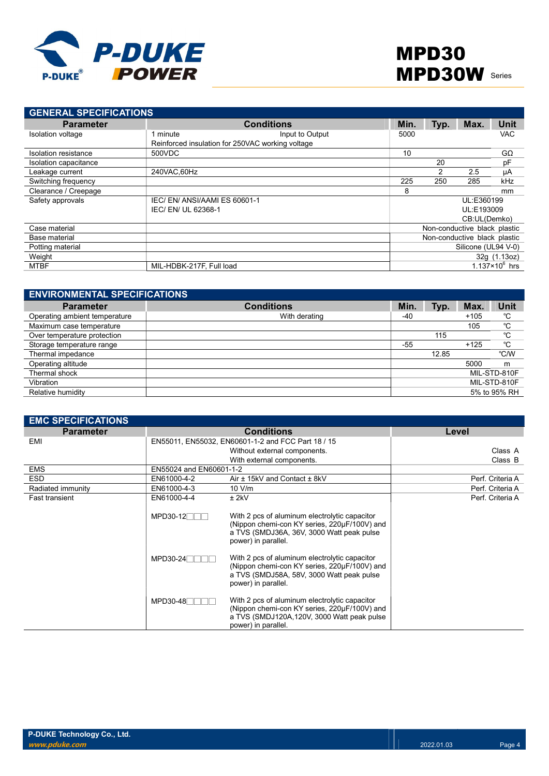

| <b>GENERAL SPECIFICATIONS</b> |                                                  |      |      |                              |                       |
|-------------------------------|--------------------------------------------------|------|------|------------------------------|-----------------------|
| <b>Parameter</b>              | <b>Conditions</b>                                | Min. | Typ. | Max.                         | Unit                  |
| Isolation voltage             | Input to Output<br>minute                        | 5000 |      |                              | <b>VAC</b>            |
|                               | Reinforced insulation for 250VAC working voltage |      |      |                              |                       |
| Isolation resistance          | 500VDC                                           | 10   |      |                              | $G\Omega$             |
| Isolation capacitance         |                                                  |      | 20   |                              | pF                    |
| Leakage current               | 240VAC.60Hz                                      |      | 2    | 2.5                          | μA                    |
| Switching frequency           |                                                  | 225  | 250  | 285                          | kHz                   |
| Clearance / Creepage          |                                                  | 8    |      |                              | mm                    |
| Safety approvals              | IEC/EN/ANSI/AAMIES 60601-1                       |      |      | UL:E360199                   |                       |
|                               | IEC/ EN/ UL 62368-1                              |      |      | UL:E193009                   |                       |
|                               |                                                  |      |      | CB:UL(Demko)                 |                       |
| Case material                 |                                                  |      |      | Non-conductive black plastic |                       |
| Base material                 |                                                  |      |      | Non-conductive black plastic |                       |
| Potting material              |                                                  |      |      | Silicone (UL94 V-0)          |                       |
| Weight                        |                                                  |      |      |                              | 32g (1.13oz)          |
| <b>MTBF</b>                   | MIL-HDBK-217F, Full load                         |      |      |                              | $1.137\times10^6$ hrs |

| <b>ENVIRONMENTAL SPECIFICATIONS</b> |                   |       |       |        |              |
|-------------------------------------|-------------------|-------|-------|--------|--------------|
| <b>Parameter</b>                    | <b>Conditions</b> | Min.  | Typ.  | Max.   | Unit         |
| Operating ambient temperature       | With derating     | -40   |       | $+105$ | °C           |
| Maximum case temperature            |                   |       |       | 105    | °C           |
| Over temperature protection         |                   |       | 115   |        | °C           |
| Storage temperature range           |                   | $-55$ |       | $+125$ | °C           |
| Thermal impedance                   |                   |       | 12.85 |        | °C/W         |
| Operating altitude                  |                   |       |       | 5000   | m            |
| Thermal shock                       |                   |       |       |        | MIL-STD-810F |
| Vibration                           |                   |       |       |        | MIL-STD-810F |
| Relative humidity                   |                   |       |       |        | 5% to 95% RH |

| <b>EMC SPECIFICATIONS</b> |                         |                                                                                                                                                                    |                  |
|---------------------------|-------------------------|--------------------------------------------------------------------------------------------------------------------------------------------------------------------|------------------|
| <b>Parameter</b>          |                         | <b>Conditions</b>                                                                                                                                                  | Level            |
| EMI                       |                         | EN55011, EN55032, EN60601-1-2 and FCC Part 18 / 15                                                                                                                 |                  |
|                           |                         | Without external components.                                                                                                                                       | Class A          |
|                           |                         | With external components.                                                                                                                                          | Class B          |
| <b>EMS</b>                | EN55024 and EN60601-1-2 |                                                                                                                                                                    |                  |
| <b>ESD</b>                | EN61000-4-2             | Air ± 15kV and Contact ± 8kV                                                                                                                                       | Perf. Criteria A |
| Radiated immunity         | EN61000-4-3             | 10 V/m                                                                                                                                                             | Perf. Criteria A |
| <b>Fast transient</b>     | EN61000-4-4             | $±$ 2kV                                                                                                                                                            | Perf. Criteria A |
|                           | MPD30-12 <sup>T</sup>   | With 2 pcs of aluminum electrolytic capacitor<br>(Nippon chemi-con KY series, 220µF/100V) and<br>a TVS (SMDJ36A, 36V, 3000 Watt peak pulse<br>power) in parallel.  |                  |
|                           | $MPD30-24$              | With 2 pcs of aluminum electrolytic capacitor<br>(Nippon chemi-con KY series, 220µF/100V) and<br>a TVS (SMDJ58A, 58V, 3000 Watt peak pulse<br>power) in parallel.  |                  |
|                           | $MPD30-48$              | With 2 pcs of aluminum electrolytic capacitor<br>(Nippon chemi-con KY series, 220µF/100V) and<br>a TVS (SMDJ120A,120V, 3000 Watt peak pulse<br>power) in parallel. |                  |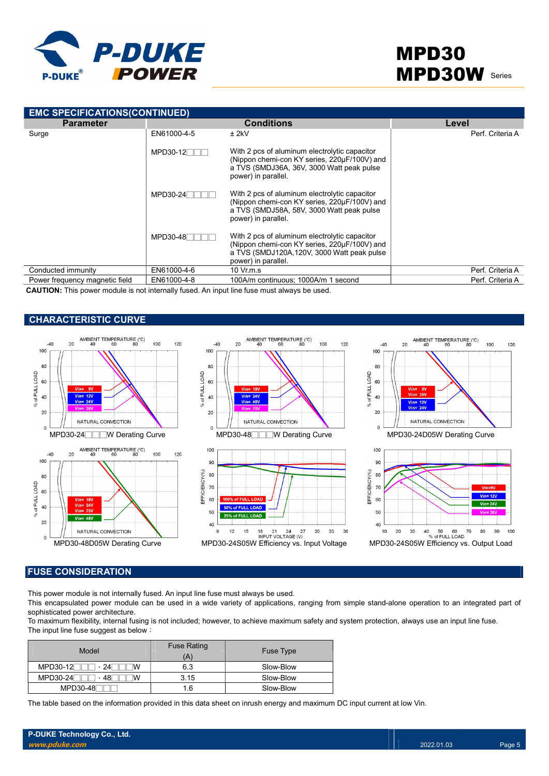

| <b>EMC SPECIFICATIONS(CONTINUED)</b> |             |                                                                                                                                                                     |                  |  |  |  |  |  |  |
|--------------------------------------|-------------|---------------------------------------------------------------------------------------------------------------------------------------------------------------------|------------------|--|--|--|--|--|--|
| <b>Parameter</b>                     |             | <b>Conditions</b>                                                                                                                                                   | Level            |  |  |  |  |  |  |
| Surge                                | EN61000-4-5 | $±$ 2kV                                                                                                                                                             | Perf. Criteria A |  |  |  |  |  |  |
|                                      | MPD30-12    | With 2 pcs of aluminum electrolytic capacitor<br>(Nippon chemi-con KY series, 220µF/100V) and<br>a TVS (SMDJ36A, 36V, 3000 Watt peak pulse<br>power) in parallel.   |                  |  |  |  |  |  |  |
|                                      | MPD30-24    | With 2 pcs of aluminum electrolytic capacitor<br>(Nippon chemi-con KY series, 220µF/100V) and<br>a TVS (SMDJ58A, 58V, 3000 Watt peak pulse<br>power) in parallel.   |                  |  |  |  |  |  |  |
|                                      | MPD30-48    | With 2 pcs of aluminum electrolytic capacitor<br>(Nippon chemi-con KY series, 220µF/100V) and<br>a TVS (SMDJ120A, 120V, 3000 Watt peak pulse<br>power) in parallel. |                  |  |  |  |  |  |  |
| Conducted immunity                   | EN61000-4-6 | $10 \,$ Vr.m.s                                                                                                                                                      | Perf. Criteria A |  |  |  |  |  |  |
| Power frequency magnetic field       | EN61000-4-8 | 100A/m continuous; 1000A/m 1 second                                                                                                                                 | Perf. Criteria A |  |  |  |  |  |  |

CAUTION: This power module is not internally fused. An input line fuse must always be used.

### CHARACTERISTIC CURVE



#### FUSE CONSIDERATION

This power module is not internally fused. An input line fuse must always be used.

This encapsulated power module can be used in a wide variety of applications, ranging from simple stand-alone operation to an integrated part of sophisticated power architecture.

To maximum flexibility, internal fusing is not included; however, to achieve maximum safety and system protection, always use an input line fuse. The input line fuse suggest as below:

| Model                  | <b>Fuse Rating</b><br>A | <b>Fuse Type</b> |
|------------------------|-------------------------|------------------|
| MPD30-12<br>$\cdot$ 24 | 6.3                     | Slow-Blow        |
| MPD30-24<br>、48l       | 3.15                    | Slow-Blow        |
| MPD30-48               | 1.6                     | Slow-Blow        |

The table based on the information provided in this data sheet on inrush energy and maximum DC input current at low Vin.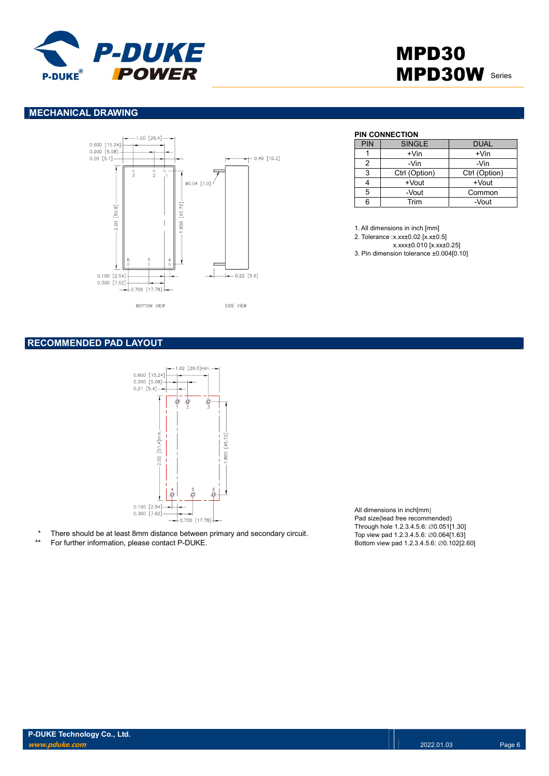

### MECHANICAL DRAWING



#### PIN CONNECTION

| <b>PIN</b> | <b>SINGLE</b> | <b>DUAL</b>   |
|------------|---------------|---------------|
|            | $+V$ in       | $+V$ in       |
| 2          | -Vin          | -Vin          |
| 3          | Ctrl (Option) | Ctrl (Option) |
|            | +Vout         | +Vout         |
| 5          | -Vout         | Common        |
| հ          | Trim          | -Vout         |

1. All dimensions in inch [mm]

2. Tolerance :x.xx±0.02 [x.x±0.5]

x.xxx±0.010 [x.xx±0.25]

3. Pin dimension tolerance ±0.004[0.10]

### RECOMMENDED PAD LAYOUT



- There should be at least 8mm distance between primary and secondary circuit.
- For further information, please contact P-DUKE.

All dimensions in inch[mm] Pad size(lead free recommended) Through hole 1.2.3.4.5.6: ∅0.051[1.30] Top view pad 1.2.3.4.5.6: ∅0.064[1.63] Bottom view pad 1.2.3.4.5.6: ∅0.102[2.60]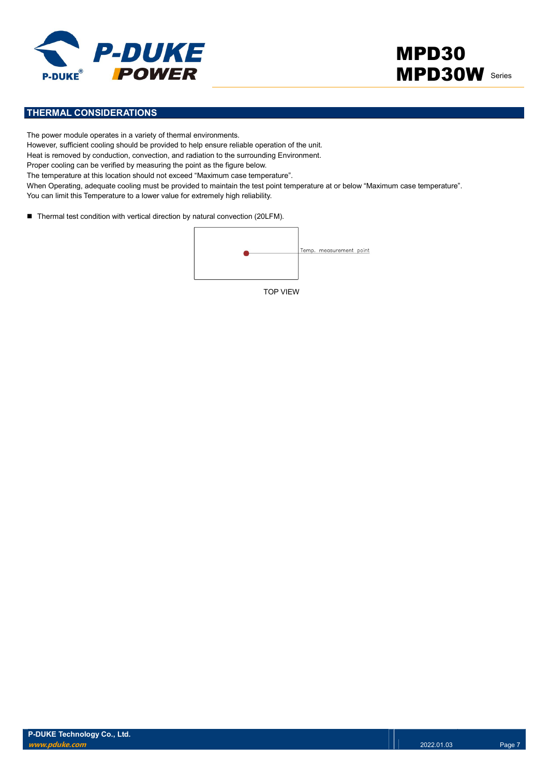

### THERMAL CONSIDERATIONS

The power module operates in a variety of thermal environments. However, sufficient cooling should be provided to help ensure reliable operation of the unit. Heat is removed by conduction, convection, and radiation to the surrounding Environment. Proper cooling can be verified by measuring the point as the figure below. The temperature at this location should not exceed "Maximum case temperature". When Operating, adequate cooling must be provided to maintain the test point temperature at or below "Maximum case temperature". You can limit this Temperature to a lower value for extremely high reliability.

■ Thermal test condition with vertical direction by natural convection (20LFM).

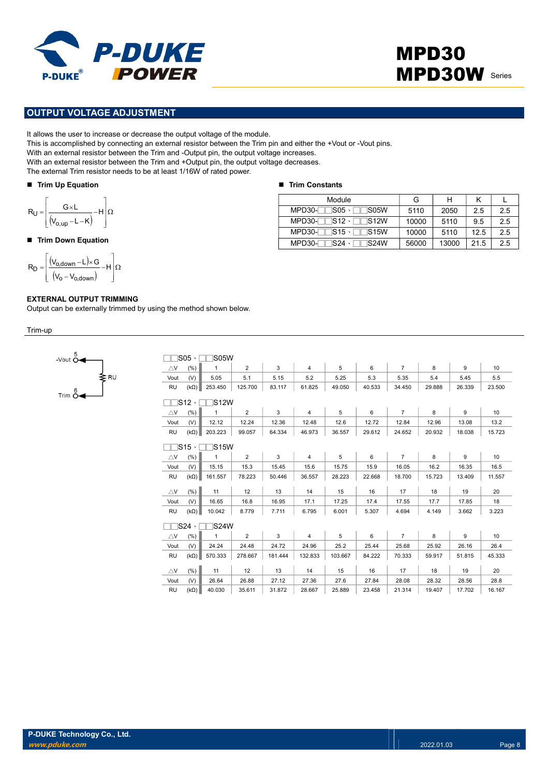

### OUTPUT VOLTAGE ADJUSTMENT

It allows the user to increase or decrease the output voltage of the module.

This is accomplished by connecting an external resistor between the Trim pin and either the +Vout or -Vout pins.

With an external resistor between the Trim and -Output pin, the output voltage increases.

With an external resistor between the Trim and +Output pin, the output voltage decreases.

The external Trim resistor needs to be at least 1/16W of rated power.

#### Trim Up Equation

$$
R_U = \left[ \frac{G \times L}{\left( V_{o,up} - L - K \right)} - H \right] \Omega
$$

#### ■ Trim Down Equation

$$
R_D = \left[ \frac{(V_{o,\text{down}} - L) \times G}{(V_o - V_{o,\text{down}})} - H \right] \Omega
$$

#### EXTERNAL OUTPUT TRIMMING

Output can be externally trimmed by using the method shown below.

Trim-up



|                       | $\mathsf{IS05:}$<br><b>IS05W</b> |             |                |         |                |         |        |                |        |        |                  |  |
|-----------------------|----------------------------------|-------------|----------------|---------|----------------|---------|--------|----------------|--------|--------|------------------|--|
| $\triangle$ V         | (% )                             | 1           | $\overline{2}$ | 3       | $\overline{4}$ | 5       | 6      | $\overline{7}$ | 8      | 9      | 10               |  |
| Vout                  | (V)                              | 5.05        | 5.1            | 5.15    | 5.2            | 5.25    | 5.3    | 5.35           | 5.4    | 5.45   | 5.5              |  |
| <b>RU</b>             | $(k\Omega)$                      | 253.450     | 125.700        | 83.117  | 61.825         | 49.050  | 40.533 | 34.450         | 29.888 | 26.339 | 23.500           |  |
|                       | 1S12 ·<br>1S12W                  |             |                |         |                |         |        |                |        |        |                  |  |
| $\triangle$ V         | (% )                             | 1           | $\overline{2}$ | 3       | $\overline{4}$ | 5       | 6      | $\overline{7}$ | 8      | 9      | 10               |  |
| Vout                  | (V)                              | 12.12       | 12.24          | 12.36   | 12.48          | 12.6    | 12.72  | 12.84          | 12.96  | 13.08  | 13.2             |  |
| <b>RU</b>             | $(k\Omega)$                      | 203.223     | 99.057         | 64.334  | 46.973         | 36.557  | 29.612 | 24.652         | 20.932 | 18.038 | 15.723           |  |
| 1S15 ·<br><b>S15W</b> |                                  |             |                |         |                |         |        |                |        |        |                  |  |
| $\triangle$ V         | (% )                             | 1           | $\overline{2}$ | 3       | $\overline{4}$ | 5       | 6      | $\overline{7}$ | 8      | 9      | 10 <sup>10</sup> |  |
| Vout                  | (V)                              | 15.15       | 15.3           | 15.45   | 15.6           | 15.75   | 15.9   | 16.05          | 16.2   | 16.35  | 16.5             |  |
| <b>RU</b>             | $(k\Omega)$                      | 161.557     | 78.223         | 50.446  | 36.557         | 28.223  | 22.668 | 18.700         | 15.723 | 13.409 | 11.557           |  |
| $\triangle$ V         | (% )                             | 11          | 12             | 13      | 14             | 15      | 16     | 17             | 18     | 19     | 20               |  |
| Vout                  | (V)                              | 16.65       | 16.8           | 16.95   | 17.1           | 17.25   | 17.4   | 17.55          | 17.7   | 17.85  | 18               |  |
| <b>RU</b>             | $(k\Omega)$                      | 10.042      | 8.779          | 7.711   | 6.795          | 6.001   | 5.307  | 4.694          | 4.149  | 3.662  | 3.223            |  |
|                       | 1S24 ·                           | <b>S24W</b> |                |         |                |         |        |                |        |        |                  |  |
| $\triangle$ V         | (% )                             | 1           | $\overline{2}$ | 3       | $\overline{4}$ | 5       | 6      | $\overline{7}$ | 8      | 9      | 10               |  |
| Vout                  | (V)                              | 24.24       | 24.48          | 24.72   | 24.96          | 25.2    | 25.44  | 25.68          | 25.92  | 26.16  | 26.4             |  |
| <b>RU</b>             | $(k\Omega)$                      | 570.333     | 278.667        | 181.444 | 132.833        | 103.667 | 84.222 | 70.333         | 59.917 | 51.815 | 45.333           |  |
| $\triangle$ V         | (% )                             | 11          | 12             | 13      | 14             | 15      | 16     | 17             | 18     | 19     | 20               |  |
| Vout                  | (V)                              | 26.64       | 26.88          | 27.12   | 27.36          | 27.6    | 27.84  | 28.08          | 28.32  | 28.56  | 28.8             |  |
| <b>RU</b>             | $(k\Omega)$                      | 40.030      | 35.611         | 31.872  | 28.667         | 25.889  | 23.458 | 21.314         | 19.407 | 17.702 | 16.167           |  |

#### ■ Trim Constants

| Module                                            | G     | н     | Κ    |     |
|---------------------------------------------------|-------|-------|------|-----|
| $\lnot$ S05、 $\lnot$<br>$MPD30-$<br>$\sqcap$ S05W | 5110  | 2050  | 2.5  | 2.5 |
| $MPD30-TS12 \cdot TTS12W$                         | 10000 | 5110  | 9.5  | 2.5 |
| $MPD30-TS15 \cdot TTS15W$                         | 10000 | 5110  | 12.5 | 2.5 |
| $MPD30-$<br>$\Box$ S24W                           | 56000 | 13000 | 21.5 | 2.5 |